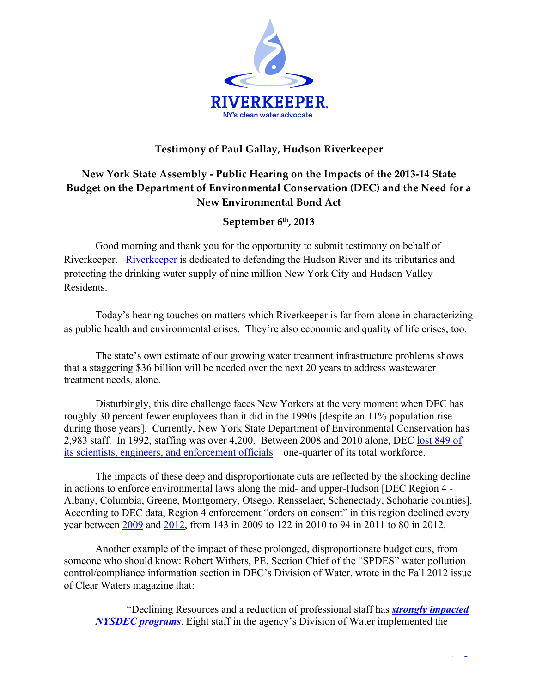

## **Testimony of Paul Gallay, Hudson Riverkeeper**

# **New York State Assembly - Public Hearing on the Impacts of the 2013-14 State Budget on the Department of Environmental Conservation (DEC) and the Need for a New Environmental Bond Act**

### **September 6th, 2013**

Good morning and thank you for the opportunity to submit testimony on behalf of Riverkeeper. Riverkeeper is dedicated to defending the Hudson River and its tributaries and protecting the drinking water supply of nine million New York City and Hudson Valley Residents.

Today's hearing touches on matters which Riverkeeper is far from alone in characterizing as public health and environmental crises. They're also economic and quality of life crises, too.

The state's own estimate of our growing water treatment infrastructure problems shows that a staggering \$36 billion will be needed over the next 20 years to address wastewater treatment needs, alone.

Disturbingly, this dire challenge faces New Yorkers at the very moment when DEC has roughly 30 percent fewer employees than it did in the 1990s [despite an 11% population rise during those years]. Currently, New York State Department of Environmental Conservation has 2,983 staff. In 1992, staffing was over 4,200. Between 2008 and 2010 alone, DEC lost 849 of its scientists, engineers, and enforcement officials – one-quarter of its total workforce.

The impacts of these deep and disproportionate cuts are reflected by the shocking decline in actions to enforce environmental laws along the mid- and upper-Hudson [DEC Region 4 - Albany, Columbia, Greene, Montgomery, Otsego, Rensselaer, Schenectady, Schoharie counties]. According to DEC data, Region 4 enforcement "orders on consent" in this region declined every year between 2009 and 2012, from 143 in 2009 to 122 in 2010 to 94 in 2011 to 80 in 2012.

Another example of the impact of these prolonged, disproportionate budget cuts, from someone who should know: Robert Withers, PE, Section Chief of the "SPDES" water pollution control/compliance information section in DEC's Division of Water, wrote in the Fall 2012 issue of Clear Waters magazine that:

"Declining Resources and a reduction of professional staff has *strongly impacted NYSDEC programs*. Eight staff in the agency's Division of Water implemented the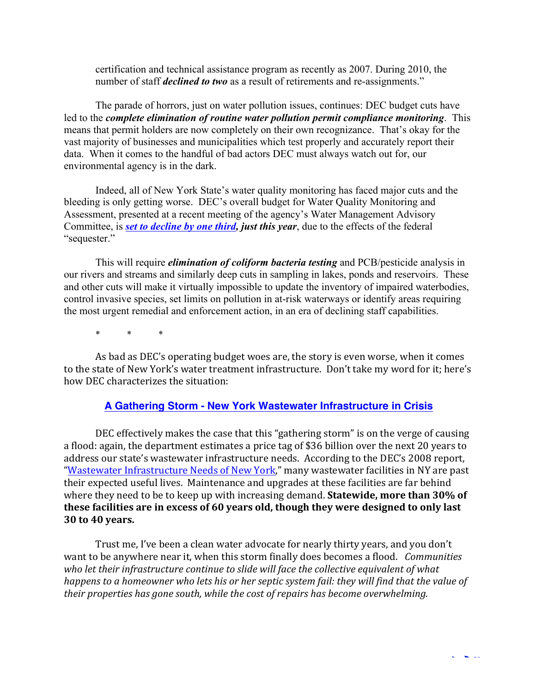certification and technical assistance program as recently as 2007. During 2010, the number of staff *declined to two* as a result of retirements and re-assignments."

The parade of horrors, just on water pollution issues, continues: DEC budget cuts have led to the *complete elimination of routine water pollution permit compliance monitoring*. This means that permit holders are now completely on their own recognizance. That's okay for the vast majority of businesses and municipalities which test properly and accurately report their data. When it comes to the handful of bad actors DEC must always watch out for, our environmental agency is in the dark.

Indeed, all of New York State's water quality monitoring has faced major cuts and the bleeding is only getting worse. DEC's overall budget for Water Quality Monitoring and Assessment, presented at a recent meeting of the agency's Water Management Advisory Committee, is *set to decline by one third, just this year*, due to the effects of the federal "sequester."

This will require *elimination of coliform bacteria testing* and PCB/pesticide analysis in our rivers and streams and similarly deep cuts in sampling in lakes, ponds and reservoirs. These and other cuts will make it virtually impossible to update the inventory of impaired waterbodies, control invasive species, set limits on pollution in at-risk waterways or identify areas requiring the most urgent remedial and enforcement action, in an era of declining staff capabilities.

\* \* \*

As bad as DEC's operating budget woes are, the story is even worse, when it comes to the state of New York's water treatment infrastructure. Don't take my word for it; here's how DEC characterizes the situation:

#### **A Gathering Storm - New York Wastewater Infrastructure in Crisis**

DEC effectively makes the case that this "gathering storm" is on the verge of causing a flood: again, the department estimates a price tag of \$36 billion over the next 20 years to address our state's wastewater infrastructure needs. According to the DEC's 2008 report, "Wastewater Infrastructure Needs of New York," many wastewater facilities in NY are past their expected useful lives. Maintenance and upgrades at these facilities are far behind where they need to be to keep up with increasing demand. **Statewide, more than 30% of** these facilities are in excess of 60 years old, though they were designed to only last **30 to 40 years.**

Trust me, I've been a clean water advocate for nearly thirty years, and you don't want to be anywhere near it, when this storm finally does becomes a flood. *Communities* who let their infrastructure continue to slide will face the collective equivalent of what happens to a homeowner who lets his or her septic system fail: they will find that the value of *their properties has gone south, while the cost of repairs has become overwhelming.*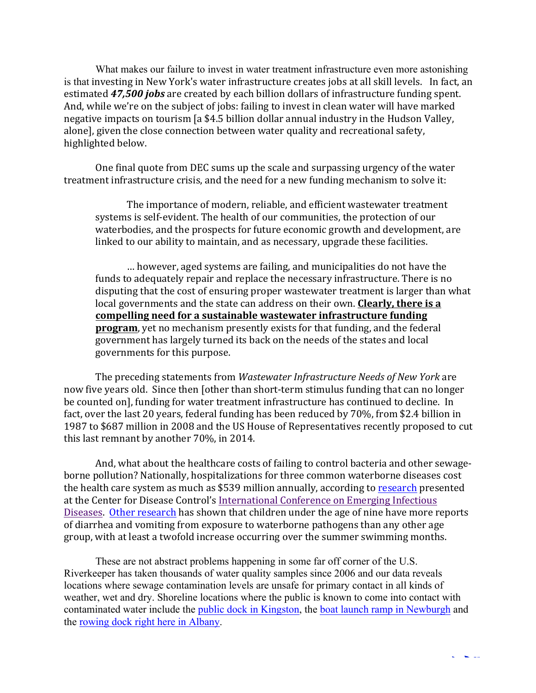What makes our failure to invest in water treatment infrastructure even more astonishing is that investing in New York's water infrastructure creates jobs at all skill levels. In fact, an estimated **47,500 jobs** are created by each billion dollars of infrastructure funding spent. And, while we're on the subject of jobs: failing to invest in clean water will have marked negative impacts on tourism [a \$4.5 billion dollar annual industry in the Hudson Valley, alonel, given the close connection between water quality and recreational safety, highlighted below.

One final quote from DEC sums up the scale and surpassing urgency of the water treatment infrastructure crisis, and the need for a new funding mechanism to solve it:

The importance of modern, reliable, and efficient wastewater treatment systems is self-evident. The health of our communities, the protection of our waterbodies, and the prospects for future economic growth and development, are linked to our ability to maintain, and as necessary, upgrade these facilities.

... however, aged systems are failing, and municipalities do not have the funds to adequately repair and replace the necessary infrastructure. There is no disputing that the cost of ensuring proper wastewater treatment is larger than what local governments and the state can address on their own. **Clearly, there is a** compelling need for a sustainable wastewater infrastructure funding **program**, vet no mechanism presently exists for that funding, and the federal government has largely turned its back on the needs of the states and local governments for this purpose.

The preceding statements from *Wastewater Infrastructure Needs of New York* are now five years old. Since then [other than short-term stimulus funding that can no longer be counted on], funding for water treatment infrastructure has continued to decline. In fact, over the last 20 years, federal funding has been reduced by 70%, from \$2.4 billion in 1987 to \$687 million in 2008 and the US House of Representatives recently proposed to cut this last remnant by another  $70\%$ , in 2014.

And, what about the healthcare costs of failing to control bacteria and other sewageborne pollution? Nationally, hospitalizations for three common waterborne diseases cost the health care system as much as \$539 million annually, according to research presented at the Center for Disease Control's International Conference on Emerging Infectious Diseases. Other research has shown that children under the age of nine have more reports of diarrhea and vomiting from exposure to waterborne pathogens than any other age group, with at least a twofold increase occurring over the summer swimming months.

These are not abstract problems happening in some far off corner of the U.S. Riverkeeper has taken thousands of water quality samples since 2006 and our data reveals locations where sewage contamination levels are unsafe for primary contact in all kinds of weather, wet and dry. Shoreline locations where the public is known to come into contact with contaminated water include the public dock in Kingston, the boat launch ramp in Newburgh and the rowing dock right here in Albany.